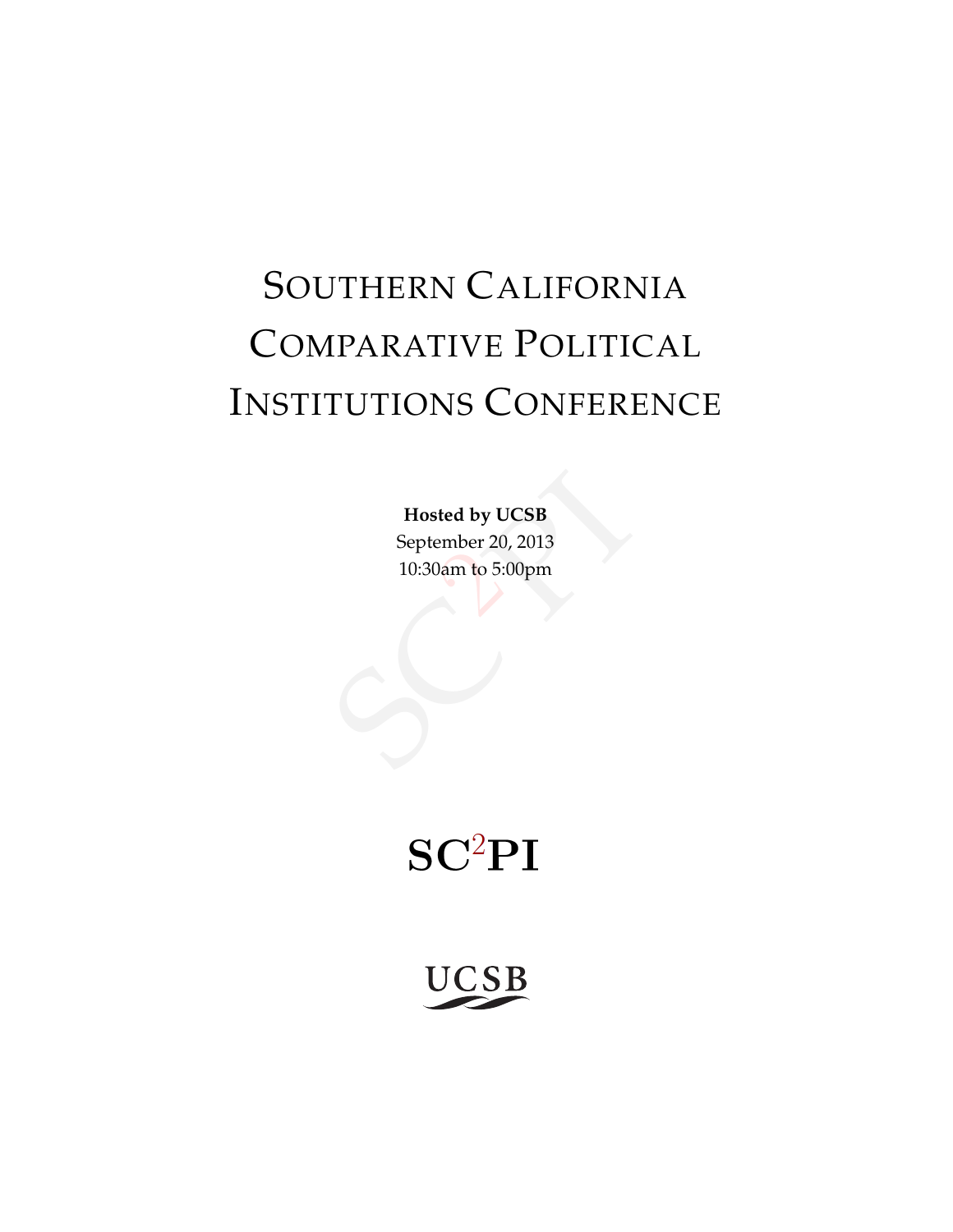# SOUTHERN CALIFORNIA COMPARATIVE POLITICAL INSTITUTIONS CONFERENCE

Exted by UCSB<br>
ember 20, 2013<br>
Jam to 5:00pm **Hosted by UCSB** September 20, 2013 10:30am to 5:00pm

# $SC<sup>2</sup>PI$

**UCSB**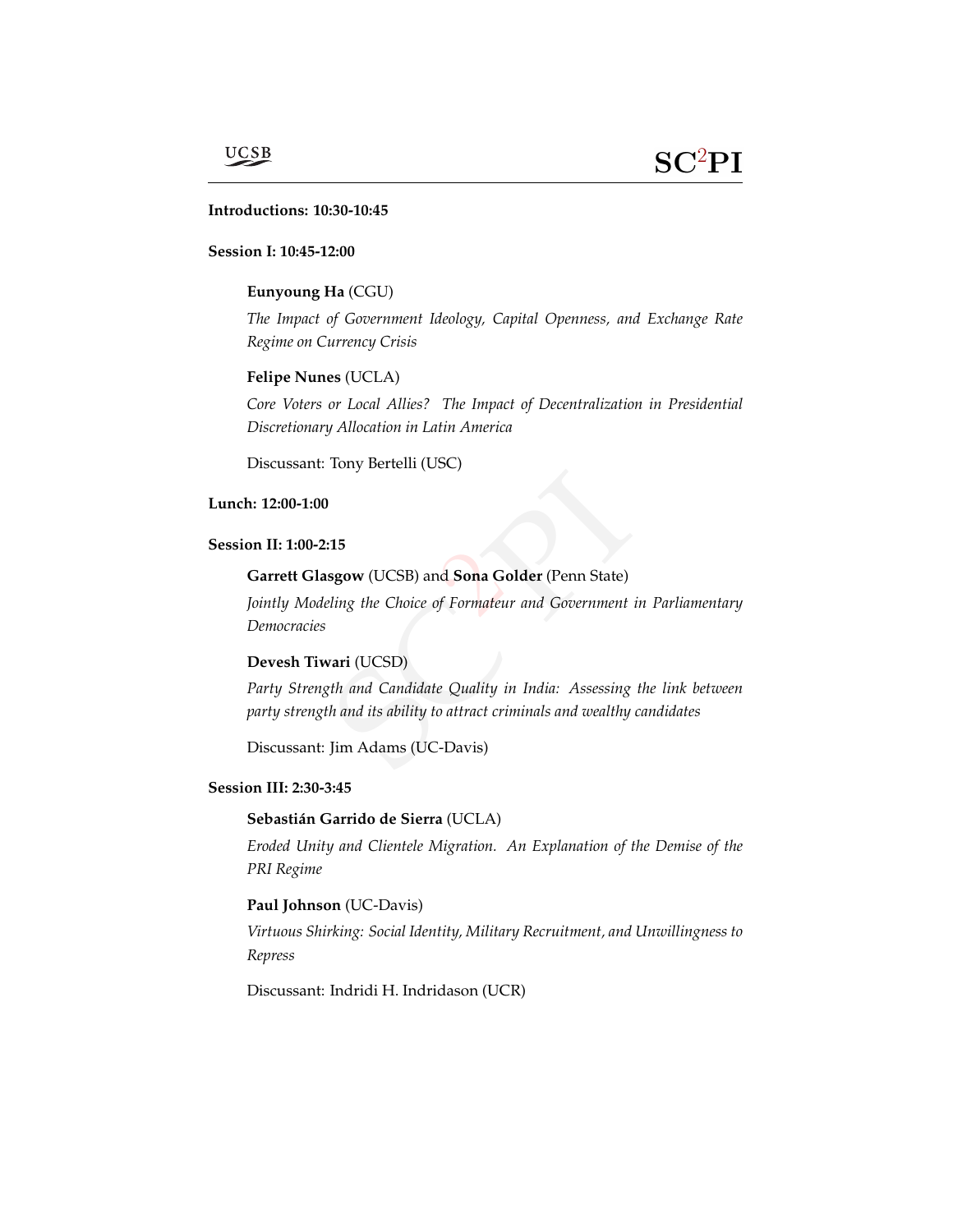### **UCSB**

### a **Introductions: 10:30-10:45**

#### **Session I: 10:45-12:00**

#### **Eunyoung Ha** (CGU)

*The Impact of Government Ideology, Capital Openness, and Exchange Rate Regime on Currency Crisis*

#### **Felipe Nunes** (UCLA)

*Core Voters or Local Allies? The Impact of Decentralization in Presidential Discretionary Allocation in Latin America*

Discussant: Tony Bertelli (USC)

#### **Lunch: 12:00-1:00**

#### **Session II: 1:00-2:15**

#### **Garrett Glasgow** (UCSB) and **Sona Golder** (Penn State)

2014<br>2015 Manuel Colder (Penn State)<br>2016 Formateur and Government in *Jointly Modeling the Choice of Formateur and Government in Parliamentary Democracies*

#### **Devesh Tiwari** (UCSD)

eling the Choice of Formateur and<br> **Scari** (UCSD)<br>
Sth and Candidate Quality in Inc<br>
Sth and its ability to attract crimina<br>
Jim Adams (UC-Davis) *Party Strength and Candidate Quality in India: Assessing the link between party strength and its ability to attract criminals and wealthy candidates*

Discussant: Jim Adams (UC-Davis)

#### **Session III: 2:30-3:45**

#### **Sebastián Garrido de Sierra** (UCLA)

*Eroded Unity and Clientele Migration. An Explanation of the Demise of the PRI Regime*

#### **Paul Johnson** (UC-Davis)

*Virtuous Shirking: Social Identity, Military Recruitment, and Unwillingness to Repress*

Discussant: Indridi H. Indridason (UCR)